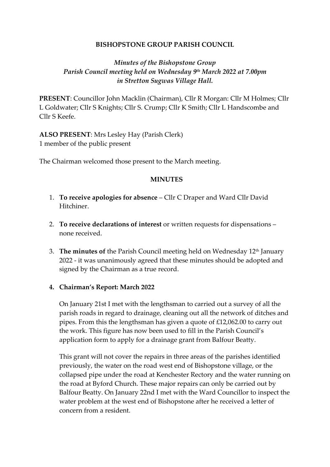#### **BISHOPSTONE GROUP PARISH COUNCIL**

# *Minutes of the Bishopstone Group Parish Council meeting held on Wednesday 9 th March 2022 at 7.00pm in Stretton Sugwas Village Hall.*

**PRESENT**: Councillor John Macklin (Chairman), Cllr R Morgan: Cllr M Holmes; Cllr L Goldwater; Cllr S Knights; Cllr S. Crump; Cllr K Smith; Cllr L Handscombe and Cllr S Keefe.

**ALSO PRESENT**: Mrs Lesley Hay (Parish Clerk) 1 member of the public present

The Chairman welcomed those present to the March meeting.

#### **MINUTES**

- 1. **To receive apologies for absence** Cllr C Draper and Ward Cllr David Hitchiner.
- 2. **To receive declarations of interest** or written requests for dispensations none received.
- 3. **The minutes of** the Parish Council meeting held on Wednesday 12th January 2022 - it was unanimously agreed that these minutes should be adopted and signed by the Chairman as a true record.

#### **4. Chairman's Report: March 2022**

On January 21st I met with the lengthsman to carried out a survey of all the parish roads in regard to drainage, cleaning out all the network of ditches and pipes. From this the lengthsman has given a quote of £12,062.00 to carry out the work. This figure has now been used to fill in the Parish Council's application form to apply for a drainage grant from Balfour Beatty.

This grant will not cover the repairs in three areas of the parishes identified previously, the water on the road west end of Bishopstone village, or the collapsed pipe under the road at Kenchester Rectory and the water running on the road at Byford Church. These major repairs can only be carried out by Balfour Beatty. On January 22nd I met with the Ward Councillor to inspect the water problem at the west end of Bishopstone after he received a letter of concern from a resident.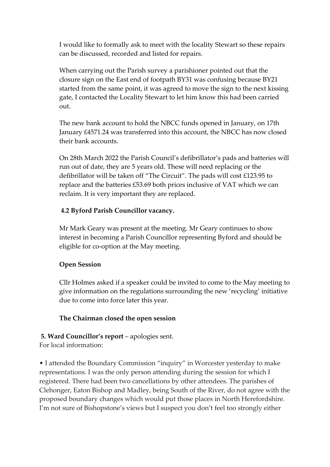I would like to formally ask to meet with the locality Stewart so these repairs can be discussed, recorded and listed for repairs.

When carrying out the Parish survey a parishioner pointed out that the closure sign on the East end of footpath BY31 was confusing because BY21 started from the same point, it was agreed to move the sign to the next kissing gate, I contacted the Locality Stewart to let him know this had been carried out.

The new bank account to hold the NBCC funds opened in January, on 17th January £4571.24 was transferred into this account, the NBCC has now closed their bank accounts.

On 28th March 2022 the Parish Council's defibrillator's pads and batteries will run out of date, they are 5 years old. These will need replacing or the defibrillator will be taken off "The Circuit". The pads will cost £123.95 to replace and the batteries £53.69 both prices inclusive of VAT which we can reclaim. It is very important they are replaced.

### **4.2 Byford Parish Councillor vacancy.**

Mr Mark Geary was present at the meeting. Mr Geary continues to show interest in becoming a Parish Councillor representing Byford and should be eligible for co-option at the May meeting.

### **Open Session**

Cllr Holmes asked if a speaker could be invited to come to the May meeting to give information on the regulations surrounding the new 'recycling' initiative due to come into force later this year.

### **The Chairman closed the open session**

### **5. Ward Councillor's report** – apologies sent.

For local information:

• I attended the Boundary Commission "inquiry" in Worcester yesterday to make representations. I was the only person attending during the session for which I registered. There had been two cancellations by other attendees. The parishes of Clehonger, Eaton Bishop and Madley, being South of the River, do not agree with the proposed boundary changes which would put those places in North Herefordshire. I'm not sure of Bishopstone's views but I suspect you don't feel too strongly either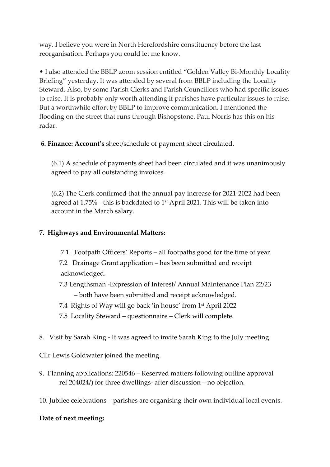way. I believe you were in North Herefordshire constituency before the last reorganisation. Perhaps you could let me know.

• I also attended the BBLP zoom session entitled "Golden Valley Bi-Monthly Locality Briefing" yesterday. It was attended by several from BBLP including the Locality Steward. Also, by some Parish Clerks and Parish Councillors who had specific issues to raise. It is probably only worth attending if parishes have particular issues to raise. But a worthwhile effort by BBLP to improve communication. I mentioned the flooding on the street that runs through Bishopstone. Paul Norris has this on his radar.

### **6. Finance: Account's** sheet/schedule of payment sheet circulated.

(6.1) A schedule of payments sheet had been circulated and it was unanimously agreed to pay all outstanding invoices.

(6.2) The Clerk confirmed that the annual pay increase for 2021-2022 had been agreed at 1.75% - this is backdated to  $1<sup>st</sup>$  April 2021. This will be taken into account in the March salary.

## **7. Highways and Environmental Matters:**

- 7.1. Footpath Officers' Reports all footpaths good for the time of year.
- 7.2 Drainage Grant application has been submitted and receipt acknowledged.
- 7.3 Lengthsman -Expression of Interest/ Annual Maintenance Plan 22/23 – both have been submitted and receipt acknowledged.
- 7.4 Rights of Way will go back 'in house' from 1st April 2022
- 7.5 Locality Steward questionnaire Clerk will complete.
- 8. Visit by Sarah King It was agreed to invite Sarah King to the July meeting.

Cllr Lewis Goldwater joined the meeting.

- 9. Planning applications: 220546 Reserved matters following outline approval ref 204024/) for three dwellings- after discussion – no objection.
- 10. Jubilee celebrations parishes are organising their own individual local events.

### **Date of next meeting:**